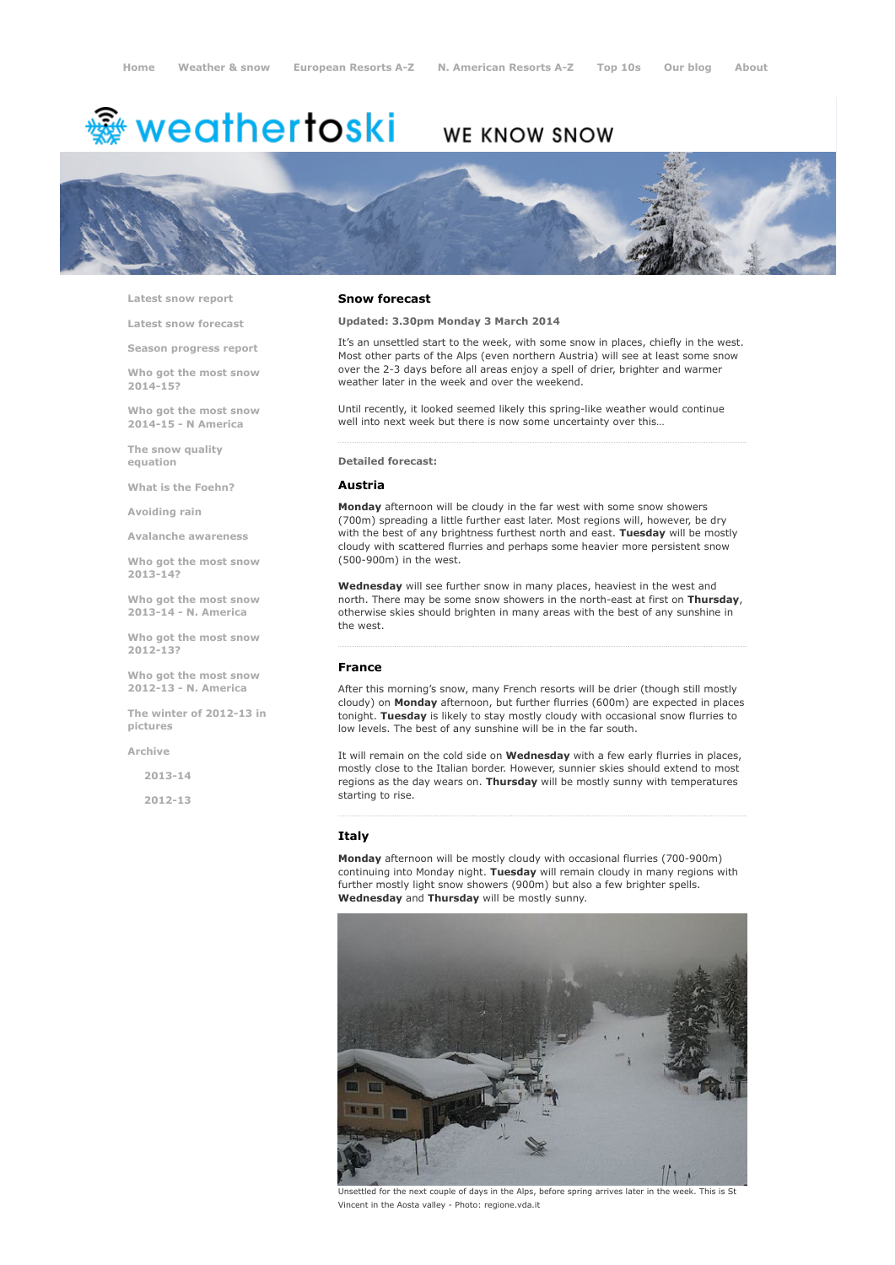# <del>靈</del> weathertoski

# WE KNOW SNOW



Latest snow [report](http://www.weathertoski.co.uk/weather-snow/latest-snow-report/)

Latest snow [forecast](http://www.weathertoski.co.uk/weather-snow/latest-snow-forecast/)

Season [progress](http://www.weathertoski.co.uk/weather-snow/season-progress-report/) report

Who got the most snow 2014-15?

Who got the most snow 2014-15 - N America

The snow quality [equation](http://www.weathertoski.co.uk/weather-snow/the-snow-quality-equation/)

What is the [Foehn?](http://www.weathertoski.co.uk/weather-snow/what-is-the-foehn/)

[Avoiding](http://www.weathertoski.co.uk/weather-snow/avoiding-rain/) rain

Avalanche [awareness](http://www.weathertoski.co.uk/weather-snow/avalanche-awareness/)

Who got the most snow 2013-14?

Who got the most snow 2013-14 - N. America

Who got the most snow 2012-13?

Who got the most snow 2012-13 - N. America

The winter of 2012-13 in pictures

[Archive](http://www.weathertoski.co.uk/weather-snow/archive/)

2013-14

2012-13

#### Snow forecast

Updated: 3.30pm Monday 3 March 2014

It's an unsettled start to the week, with some snow in places, chiefly in the west. Most other parts of the Alps (even northern Austria) will see at least some snow over the 2-3 days before all areas enjoy a spell of drier, brighter and warmer weather later in the week and over the weekend.

Until recently, it looked seemed likely this spring-like weather would continue well into next week but there is now some uncertainty over this…

#### Detailed forecast:

#### Austria

Monday afternoon will be cloudy in the far west with some snow showers (700m) spreading a little further east later. Most regions will, however, be dry with the best of any brightness furthest north and east. Tuesday will be mostly cloudy with scattered flurries and perhaps some heavier more persistent snow (500-900m) in the west.

Wednesday will see further snow in many places, heaviest in the west and north. There may be some snow showers in the north-east at first on Thursday, otherwise skies should brighten in many areas with the best of any sunshine in the west.

#### France

After this morning's snow, many French resorts will be drier (though still mostly cloudy) on Monday afternoon, but further flurries (600m) are expected in places tonight. Tuesday is likely to stay mostly cloudy with occasional snow flurries to low levels. The best of any sunshine will be in the far south.

It will remain on the cold side on Wednesday with a few early flurries in places, mostly close to the Italian border. However, sunnier skies should extend to most regions as the day wears on. Thursday will be mostly sunny with temperatures starting to rise.

#### Italy

Monday afternoon will be mostly cloudy with occasional flurries (700-900m) continuing into Monday night. Tuesday will remain cloudy in many regions with further mostly light snow showers (900m) but also a few brighter spells. Wednesday and Thursday will be mostly sunny.



Unsettled for the next couple of days in the Alps, before spring arrives later in the week. This is St Vincent in the Aosta valley - Photo: regione.vda.it